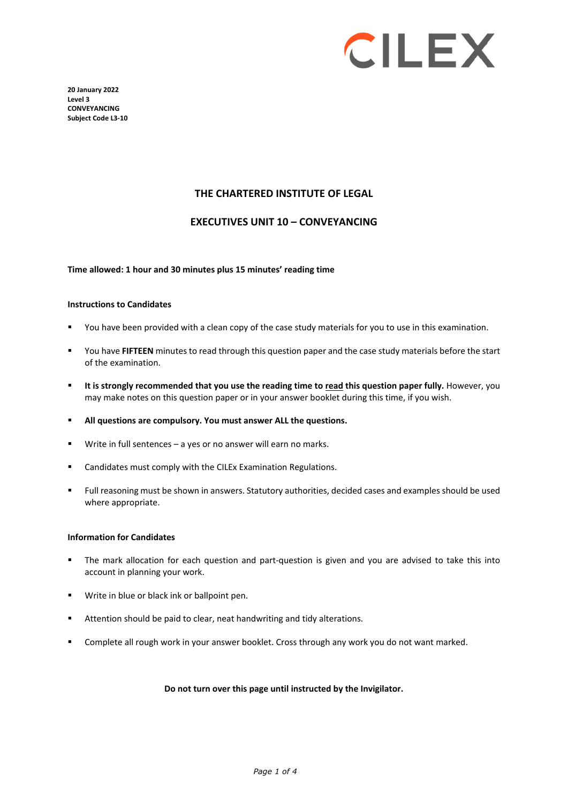

**20 January 2022 Level 3 CONVEYANCING Subject Code L3-10** 

### **THE CHARTERED INSTITUTE OF LEGAL**

#### **EXECUTIVES UNIT 10 – CONVEYANCING**

#### **Time allowed: 1 hour and 30 minutes plus 15 minutes' reading time**

#### **Instructions to Candidates**

- You have been provided with a clean copy of the case study materials for you to use in this examination.
- You have **FIFTEEN** minutes to read through this question paper and the case study materials before the start of the examination.
- **It is strongly recommended that you use the reading time to read this question paper fully.** However, you may make notes on this question paper or in your answer booklet during this time, if you wish.
- **All questions are compulsory. You must answer ALL the questions.**
- Write in full sentences a yes or no answer will earn no marks.
- **EXEC** Candidates must comply with the CILEx Examination Regulations.
- Full reasoning must be shown in answers. Statutory authorities, decided cases and examples should be used where appropriate.

#### **Information for Candidates**

- The mark allocation for each question and part-question is given and you are advised to take this into account in planning your work.
- **Write in blue or black ink or ballpoint pen.**
- Attention should be paid to clear, neat handwriting and tidy alterations.
- Complete all rough work in your answer booklet. Cross through any work you do not want marked.

#### **Do not turn over this page until instructed by the Invigilator.**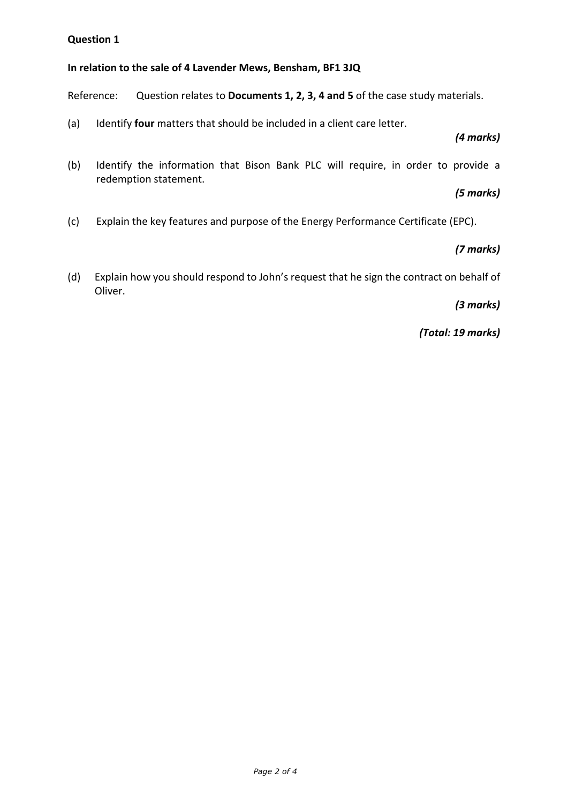### **Question 1**

#### **In relation to the sale of 4 Lavender Mews, Bensham, BF1 3JQ**

Reference: Question relates to **Documents 1, 2, 3, 4 and 5** of the case study materials.

(a) Identify **four** matters that should be included in a client care letter.

### *(4 marks)*

(b) Identify the information that Bison Bank PLC will require, in order to provide a redemption statement.

## *(5 marks)*

(c) Explain the key features and purpose of the Energy Performance Certificate (EPC).

### *(7 marks)*

(d) Explain how you should respond to John's request that he sign the contract on behalf of Oliver.

*(3 marks)*

*(Total: 19 marks)*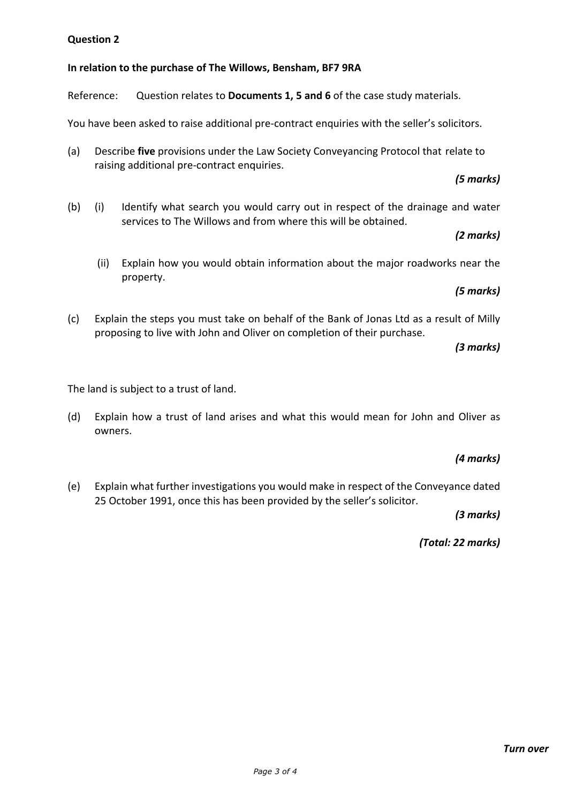# **Question 2**

# **In relation to the purchase of The Willows, Bensham, BF7 9RA**

Reference: Question relates to **Documents 1, 5 and 6** of the case study materials.

You have been asked to raise additional pre-contract enquiries with the seller's solicitors.

(a) Describe **five** provisions under the Law Society Conveyancing Protocol that relate to raising additional pre-contract enquiries.

# *(5 marks)*

(b) (i) Identify what search you would carry out in respect of the drainage and water services to The Willows and from where this will be obtained.

### *(2 marks)*

(ii) Explain how you would obtain information about the major roadworks near the property.

# *(5 marks)*

(c) Explain the steps you must take on behalf of the Bank of Jonas Ltd as a result of Milly proposing to live with John and Oliver on completion of their purchase.

*(3 marks)*

The land is subject to a trust of land.

(d) Explain how a trust of land arises and what this would mean for John and Oliver as owners.

# *(4 marks)*

(e) Explain what further investigations you would make in respect of the Conveyance dated 25 October 1991, once this has been provided by the seller's solicitor.

*(3 marks)*

*(Total: 22 marks)*